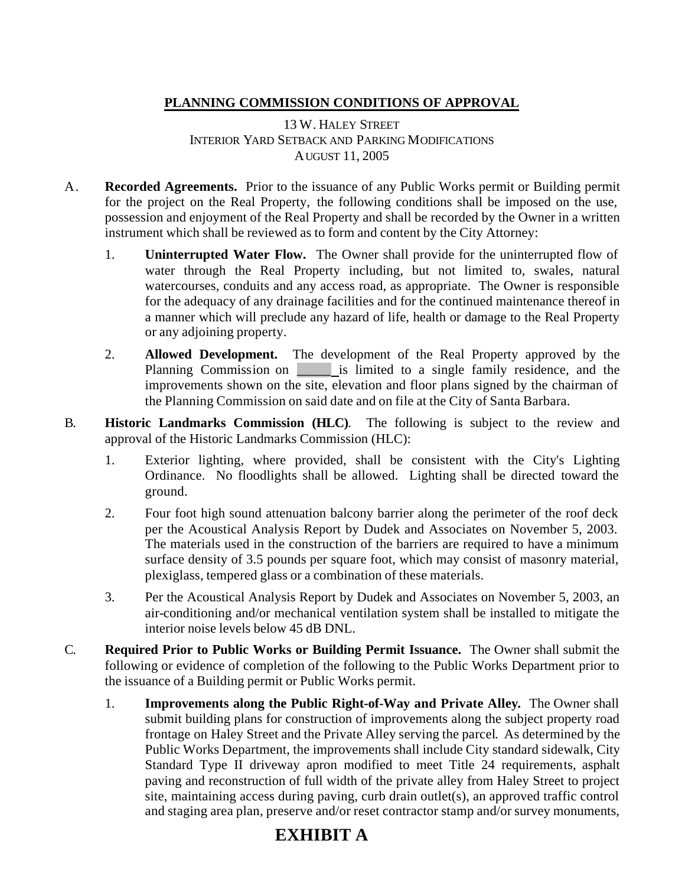## **PLANNING COMMISSION CONDITIONS OF APPROVAL**

13 W. HALEY STREET INTERIOR YARD SETBACK AND PARKING MODIFICATIONS AUGUST 11, 2005

- A. **Recorded Agreements.** Prior to the issuance of any Public Works permit or Building permit for the project on the Real Property, the following conditions shall be imposed on the use, possession and enjoyment of the Real Property and shall be recorded by the Owner in a written instrument which shall be reviewed as to form and content by the City Attorney:
	- 1. **Uninterrupted Water Flow.** The Owner shall provide for the uninterrupted flow of water through the Real Property including, but not limited to, swales, natural watercourses, conduits and any access road, as appropriate. The Owner is responsible for the adequacy of any drainage facilities and for the continued maintenance thereof in a manner which will preclude any hazard of life, health or damage to the Real Property or any adjoining property.
	- 2. **Allowed Development.** The development of the Real Property approved by the Planning Commission on **a** is limited to a single family residence, and the improvements shown on the site, elevation and floor plans signed by the chairman of the Planning Commission on said date and on file at the City of Santa Barbara.
- B. **Historic Landmarks Commission (HLC)**. The following is subject to the review and approval of the Historic Landmarks Commission (HLC):
	- 1. Exterior lighting, where provided, shall be consistent with the City's Lighting Ordinance. No floodlights shall be allowed. Lighting shall be directed toward the ground.
	- 2. Four foot high sound attenuation balcony barrier along the perimeter of the roof deck per the Acoustical Analysis Report by Dudek and Associates on November 5, 2003. The materials used in the construction of the barriers are required to have a minimum surface density of 3.5 pounds per square foot, which may consist of masonry material, plexiglass, tempered glass or a combination of these materials.
	- 3. Per the Acoustical Analysis Report by Dudek and Associates on November 5, 2003, an air-conditioning and/or mechanical ventilation system shall be installed to mitigate the interior noise levels below 45 dB DNL.
- C. **Required Prior to Public Works or Building Permit Issuance.** The Owner shall submit the following or evidence of completion of the following to the Public Works Department prior to the issuance of a Building permit or Public Works permit.
	- 1. **Improvements along the Public Right-of-Way and Private Alley.** The Owner shall submit building plans for construction of improvements along the subject property road frontage on Haley Street and the Private Alley serving the parcel. As determined by the Public Works Department, the improvements shall include City standard sidewalk, City Standard Type II driveway apron modified to meet Title 24 requirements, asphalt paving and reconstruction of full width of the private alley from Haley Street to project site, maintaining access during paving, curb drain outlet(s), an approved traffic control and staging area plan, preserve and/or reset contractor stamp and/or survey monuments,

## **EXHIBIT A**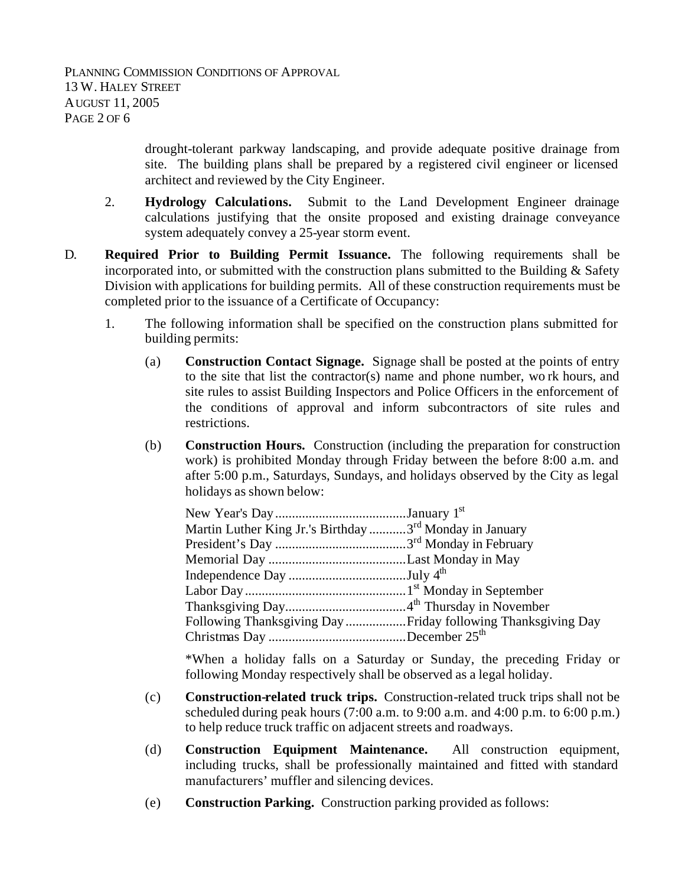drought-tolerant parkway landscaping, and provide adequate positive drainage from site. The building plans shall be prepared by a registered civil engineer or licensed architect and reviewed by the City Engineer.

- 2. **Hydrology Calculations.** Submit to the Land Development Engineer drainage calculations justifying that the onsite proposed and existing drainage conveyance system adequately convey a 25-year storm event.
- D. **Required Prior to Building Permit Issuance.** The following requirements shall be incorporated into, or submitted with the construction plans submitted to the Building & Safety Division with applications for building permits. All of these construction requirements must be completed prior to the issuance of a Certificate of Occupancy:
	- 1. The following information shall be specified on the construction plans submitted for building permits:
		- (a) **Construction Contact Signage.** Signage shall be posted at the points of entry to the site that list the contractor(s) name and phone number, wo rk hours, and site rules to assist Building Inspectors and Police Officers in the enforcement of the conditions of approval and inform subcontractors of site rules and restrictions.
		- (b) **Construction Hours.** Construction (including the preparation for construction work) is prohibited Monday through Friday between the before 8:00 a.m. and after 5:00 p.m., Saturdays, Sundays, and holidays observed by the City as legal holidays as shown below:

| Martin Luther King Jr.'s Birthday 3 <sup>rd</sup> Monday in January |  |
|---------------------------------------------------------------------|--|
|                                                                     |  |
|                                                                     |  |
|                                                                     |  |
|                                                                     |  |
|                                                                     |  |
| Following Thanksgiving Day Friday following Thanksgiving Day        |  |
|                                                                     |  |

\*When a holiday falls on a Saturday or Sunday, the preceding Friday or following Monday respectively shall be observed as a legal holiday.

- (c) **Construction-related truck trips.** Construction-related truck trips shall not be scheduled during peak hours (7:00 a.m. to 9:00 a.m. and 4:00 p.m. to 6:00 p.m.) to help reduce truck traffic on adjacent streets and roadways.
- (d) **Construction Equipment Maintenance.** All construction equipment, including trucks, shall be professionally maintained and fitted with standard manufacturers' muffler and silencing devices.
- (e) **Construction Parking.** Construction parking provided as follows: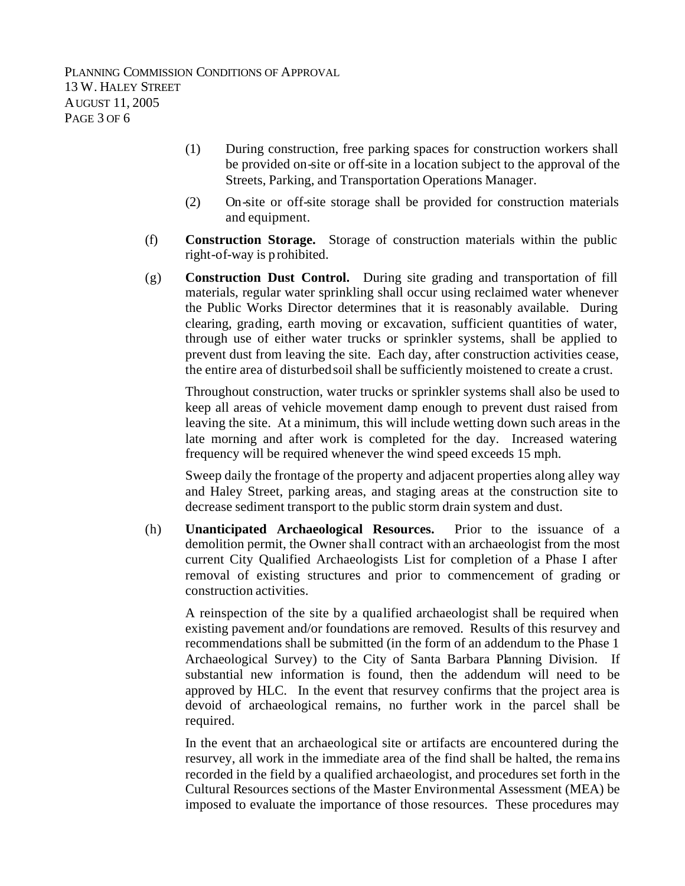PLANNING COMMISSION CONDITIONS OF APPROVAL 13 W. HALEY STREET AUGUST 11, 2005 PAGE 3 OF 6

- (1) During construction, free parking spaces for construction workers shall be provided on-site or off-site in a location subject to the approval of the Streets, Parking, and Transportation Operations Manager.
- (2) On-site or off-site storage shall be provided for construction materials and equipment.
- (f) **Construction Storage.** Storage of construction materials within the public right-of-way is prohibited.
- (g) **Construction Dust Control.** During site grading and transportation of fill materials, regular water sprinkling shall occur using reclaimed water whenever the Public Works Director determines that it is reasonably available. During clearing, grading, earth moving or excavation, sufficient quantities of water, through use of either water trucks or sprinkler systems, shall be applied to prevent dust from leaving the site. Each day, after construction activities cease, the entire area of disturbed soil shall be sufficiently moistened to create a crust.

Throughout construction, water trucks or sprinkler systems shall also be used to keep all areas of vehicle movement damp enough to prevent dust raised from leaving the site. At a minimum, this will include wetting down such areas in the late morning and after work is completed for the day. Increased watering frequency will be required whenever the wind speed exceeds 15 mph.

Sweep daily the frontage of the property and adjacent properties along alley way and Haley Street, parking areas, and staging areas at the construction site to decrease sediment transport to the public storm drain system and dust.

(h) **Unanticipated Archaeological Resources.** Prior to the issuance of a demolition permit, the Owner shall contract with an archaeologist from the most current City Qualified Archaeologists List for completion of a Phase I after removal of existing structures and prior to commencement of grading or construction activities.

A reinspection of the site by a qualified archaeologist shall be required when existing pavement and/or foundations are removed. Results of this resurvey and recommendations shall be submitted (in the form of an addendum to the Phase 1 Archaeological Survey) to the City of Santa Barbara Planning Division. If substantial new information is found, then the addendum will need to be approved by HLC. In the event that resurvey confirms that the project area is devoid of archaeological remains, no further work in the parcel shall be required.

In the event that an archaeological site or artifacts are encountered during the resurvey, all work in the immediate area of the find shall be halted, the rema ins recorded in the field by a qualified archaeologist, and procedures set forth in the Cultural Resources sections of the Master Environmental Assessment (MEA) be imposed to evaluate the importance of those resources. These procedures may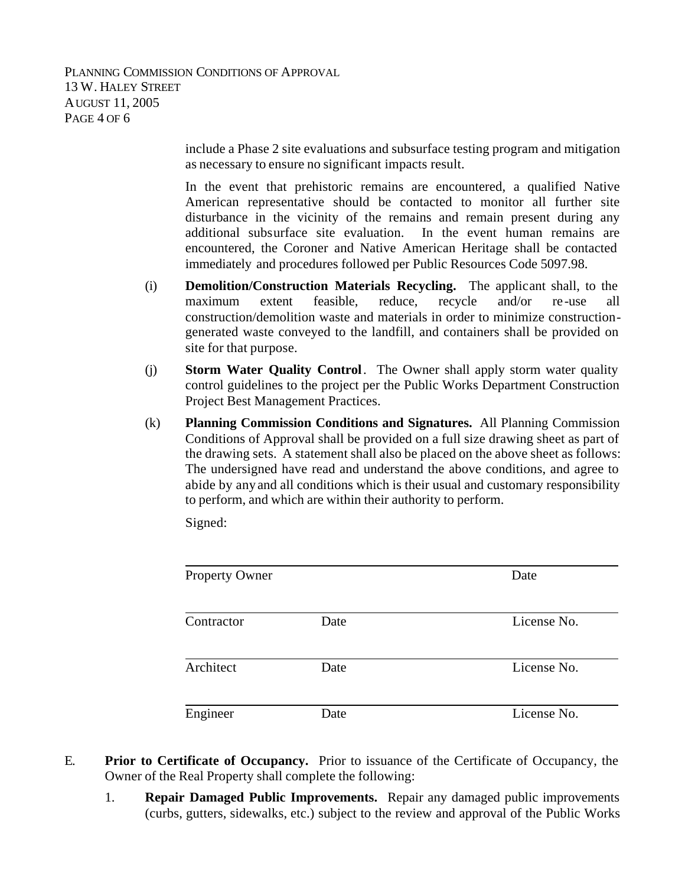PLANNING COMMISSION CONDITIONS OF APPROVAL 13 W. HALEY STREET AUGUST 11, 2005 PAGE 4 OF 6

> include a Phase 2 site evaluations and subsurface testing program and mitigation as necessary to ensure no significant impacts result.

> In the event that prehistoric remains are encountered, a qualified Native American representative should be contacted to monitor all further site disturbance in the vicinity of the remains and remain present during any additional subsurface site evaluation. In the event human remains are encountered, the Coroner and Native American Heritage shall be contacted immediately and procedures followed per Public Resources Code 5097.98.

- (i) **Demolition/Construction Materials Recycling.** The applicant shall, to the maximum extent feasible, reduce, recycle and/or re -use all construction/demolition waste and materials in order to minimize constructiongenerated waste conveyed to the landfill, and containers shall be provided on site for that purpose.
- (j) **Storm Water Quality Control**. The Owner shall apply storm water quality control guidelines to the project per the Public Works Department Construction Project Best Management Practices.
- (k) **Planning Commission Conditions and Signatures.** All Planning Commission Conditions of Approval shall be provided on a full size drawing sheet as part of the drawing sets. A statement shall also be placed on the above sheet as follows: The undersigned have read and understand the above conditions, and agree to abide by any and all conditions which is their usual and customary responsibility to perform, and which are within their authority to perform.

Signed:

| <b>Property Owner</b> |      | Date        |
|-----------------------|------|-------------|
| Contractor            | Date | License No. |
| Architect             | Date | License No. |
| Engineer              | Date | License No. |

- E. **Prior to Certificate of Occupancy.** Prior to issuance of the Certificate of Occupancy, the Owner of the Real Property shall complete the following:
	- 1. **Repair Damaged Public Improvements.** Repair any damaged public improvements (curbs, gutters, sidewalks, etc.) subject to the review and approval of the Public Works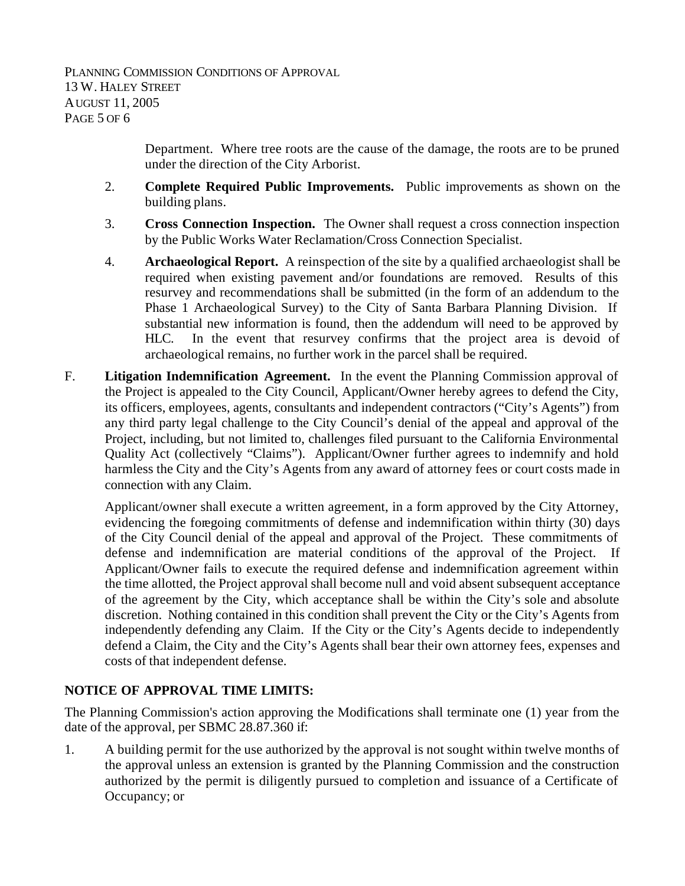Department. Where tree roots are the cause of the damage, the roots are to be pruned under the direction of the City Arborist.

- 2. **Complete Required Public Improvements.** Public improvements as shown on the building plans.
- 3. **Cross Connection Inspection.** The Owner shall request a cross connection inspection by the Public Works Water Reclamation/Cross Connection Specialist.
- 4. **Archaeological Report.** A reinspection of the site by a qualified archaeologist shall be required when existing pavement and/or foundations are removed. Results of this resurvey and recommendations shall be submitted (in the form of an addendum to the Phase 1 Archaeological Survey) to the City of Santa Barbara Planning Division. If substantial new information is found, then the addendum will need to be approved by HLC. In the event that resurvey confirms that the project area is devoid of archaeological remains, no further work in the parcel shall be required.
- F. **Litigation Indemnification Agreement.** In the event the Planning Commission approval of the Project is appealed to the City Council, Applicant/Owner hereby agrees to defend the City, its officers, employees, agents, consultants and independent contractors ("City's Agents") from any third party legal challenge to the City Council's denial of the appeal and approval of the Project, including, but not limited to, challenges filed pursuant to the California Environmental Quality Act (collectively "Claims"). Applicant/Owner further agrees to indemnify and hold harmless the City and the City's Agents from any award of attorney fees or court costs made in connection with any Claim.

Applicant/owner shall execute a written agreement, in a form approved by the City Attorney, evidencing the foregoing commitments of defense and indemnification within thirty (30) days of the City Council denial of the appeal and approval of the Project. These commitments of defense and indemnification are material conditions of the approval of the Project. If Applicant/Owner fails to execute the required defense and indemnification agreement within the time allotted, the Project approval shall become null and void absent subsequent acceptance of the agreement by the City, which acceptance shall be within the City's sole and absolute discretion. Nothing contained in this condition shall prevent the City or the City's Agents from independently defending any Claim. If the City or the City's Agents decide to independently defend a Claim, the City and the City's Agents shall bear their own attorney fees, expenses and costs of that independent defense.

## **NOTICE OF APPROVAL TIME LIMITS:**

The Planning Commission's action approving the Modifications shall terminate one (1) year from the date of the approval, per SBMC 28.87.360 if:

1. A building permit for the use authorized by the approval is not sought within twelve months of the approval unless an extension is granted by the Planning Commission and the construction authorized by the permit is diligently pursued to completion and issuance of a Certificate of Occupancy; or